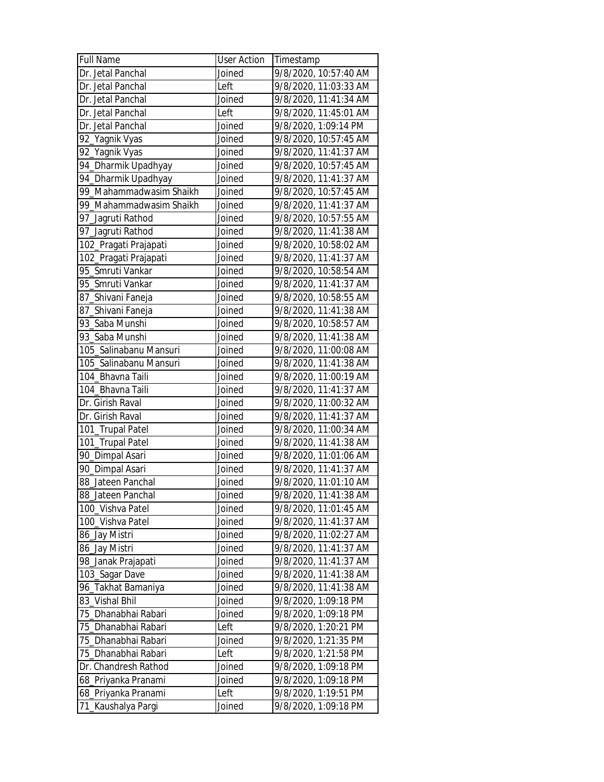| <b>Full Name</b>        | <b>User Action</b> | Timestamp             |
|-------------------------|--------------------|-----------------------|
| Dr. Jetal Panchal       | Joined             | 9/8/2020, 10:57:40 AM |
| Dr. Jetal Panchal       | Left               | 9/8/2020, 11:03:33 AM |
| Dr. Jetal Panchal       | Joined             | 9/8/2020, 11:41:34 AM |
| Dr. Jetal Panchal       | Left               | 9/8/2020, 11:45:01 AM |
| Dr. Jetal Panchal       | Joined             | 9/8/2020, 1:09:14 PM  |
| 92_Yagnik Vyas          | Joined             | 9/8/2020, 10:57:45 AM |
| 92_Yagnik Vyas          | Joined             | 9/8/2020, 11:41:37 AM |
| 94_Dharmik Upadhyay     | Joined             | 9/8/2020, 10:57:45 AM |
| 94_Dharmik Upadhyay     | Joined             | 9/8/2020, 11:41:37 AM |
| 99_Mahammadwasim Shaikh | Joined             | 9/8/2020, 10:57:45 AM |
| 99_Mahammadwasim Shaikh | Joined             | 9/8/2020, 11:41:37 AM |
| 97_Jagruti Rathod       | Joined             | 9/8/2020, 10:57:55 AM |
| 97_Jagruti Rathod       | Joined             | 9/8/2020, 11:41:38 AM |
| 102_Pragati Prajapati   | Joined             | 9/8/2020, 10:58:02 AM |
| 102_Pragati Prajapati   | Joined             | 9/8/2020, 11:41:37 AM |
| 95_Smruti Vankar        | Joined             | 9/8/2020, 10:58:54 AM |
| 95 Smruti Vankar        | Joined             | 9/8/2020, 11:41:37 AM |
| 87_Shivani Faneja       | Joined             | 9/8/2020, 10:58:55 AM |
| 87_Shivani Faneja       | Joined             | 9/8/2020, 11:41:38 AM |
| 93 Saba Munshi          | Joined             | 9/8/2020, 10:58:57 AM |
| 93_Saba Munshi          | Joined             | 9/8/2020, 11:41:38 AM |
| 105_Salinabanu Mansuri  | Joined             | 9/8/2020, 11:00:08 AM |
| 105_Salinabanu Mansuri  | Joined             | 9/8/2020, 11:41:38 AM |
| 104 Bhavna Taili        | Joined             | 9/8/2020, 11:00:19 AM |
| 104_Bhavna Taili        | Joined             | 9/8/2020, 11:41:37 AM |
| Dr. Girish Raval        | Joined             | 9/8/2020, 11:00:32 AM |
| Dr. Girish Raval        | Joined             | 9/8/2020, 11:41:37 AM |
| 101_Trupal Patel        | Joined             | 9/8/2020, 11:00:34 AM |
| 101_Trupal Patel        | Joined             | 9/8/2020, 11:41:38 AM |
| 90_Dimpal Asari         | Joined             | 9/8/2020, 11:01:06 AM |
| 90_Dimpal Asari         | Joined             | 9/8/2020, 11:41:37 AM |
| 88_Jateen Panchal       | Joined             | 9/8/2020, 11:01:10 AM |
| 88_Jateen Panchal       | Joined             | 9/8/2020, 11:41:38 AM |
| 100_Vishva Patel        | Joined             | 9/8/2020, 11:01:45 AM |
| 100_Vishva Patel        | Joined             | 9/8/2020, 11:41:37 AM |
| 86_Jay Mistri           | Joined             | 9/8/2020, 11:02:27 AM |
| 86_Jay Mistri           | Joined             | 9/8/2020, 11:41:37 AM |
| 98_Janak Prajapati      | Joined             | 9/8/2020, 11:41:37 AM |
| 103_Sagar Dave          | Joined             | 9/8/2020, 11:41:38 AM |
| 96_Takhat Bamaniya      | Joined             | 9/8/2020, 11:41:38 AM |
| 83_Vishal Bhil          | Joined             | 9/8/2020, 1:09:18 PM  |
| 75_Dhanabhai Rabari     | Joined             | 9/8/2020, 1:09:18 PM  |
| 75_Dhanabhai Rabari     | Left               | 9/8/2020, 1:20:21 PM  |
| 75_Dhanabhai Rabari     | Joined             | 9/8/2020, 1:21:35 PM  |
| 75_Dhanabhai Rabari     | Left               | 9/8/2020, 1:21:58 PM  |
| Dr. Chandresh Rathod    | Joined             | 9/8/2020, 1:09:18 PM  |
| 68_Priyanka Pranami     | Joined             | 9/8/2020, 1:09:18 PM  |
| 68_Priyanka Pranami     | Left               | 9/8/2020, 1:19:51 PM  |
| 71_Kaushalya Pargi      | Joined             | 9/8/2020, 1:09:18 PM  |